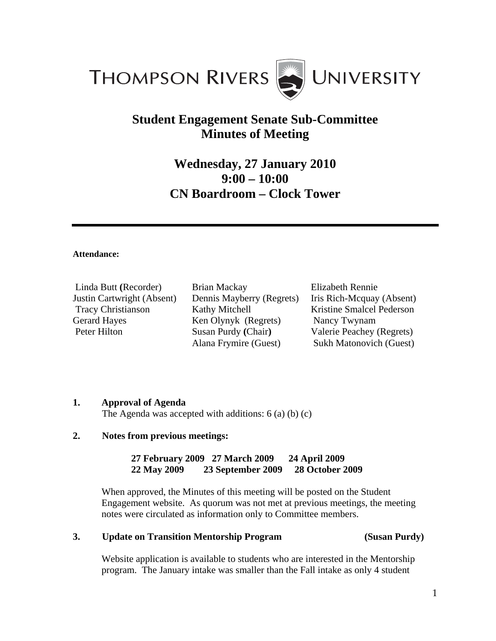

# **Student Engagement Senate Sub-Committee Minutes of Meeting**

# **Wednesday, 27 January 2010 9:00 – 10:00 CN Boardroom – Clock Tower**

#### **Attendance:**

Linda Butt **(**Recorder) Justin Cartwright (Absent) Tracy Christianson Gerard Hayes Peter Hilton

Brian Mackay Dennis Mayberry (Regrets) Kathy Mitchell Ken Olynyk (Regrets) Susan Purdy **(**Chair**)**  Alana Frymire (Guest)

Elizabeth Rennie Iris Rich-Mcquay (Absent) Kristine Smalcel Pederson Nancy Twynam Valerie Peachey (Regrets) Sukh Matonovich (Guest)

#### **1. Approval of Agenda**

The Agenda was accepted with additions: 6 (a) (b) (c)

### **2. Notes from previous meetings:**

**27 February 2009 27 March 2009 24 April 2009 22 May 2009 23 September 2009 28 October 2009** 

When approved, the Minutes of this meeting will be posted on the Student Engagement website.As quorum was not met at previous meetings, the meeting notes were circulated as information only to Committee members.

#### **3. Update on Transition Mentorship Program (Susan Purdy)**

Website application is available to students who are interested in the Mentorship program. The January intake was smaller than the Fall intake as only 4 student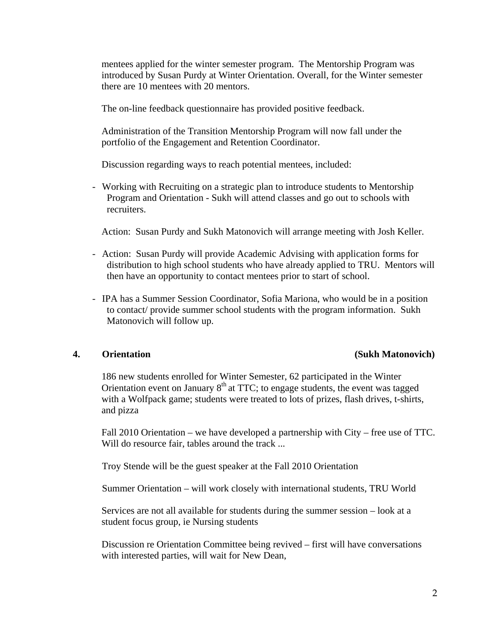mentees applied for the winter semester program. The Mentorship Program was introduced by Susan Purdy at Winter Orientation. Overall, for the Winter semester there are 10 mentees with 20 mentors.

The on-line feedback questionnaire has provided positive feedback.

 Administration of the Transition Mentorship Program will now fall under the portfolio of the Engagement and Retention Coordinator.

Discussion regarding ways to reach potential mentees, included:

- Working with Recruiting on a strategic plan to introduce students to Mentorship Program and Orientation - Sukh will attend classes and go out to schools with recruiters.

Action: Susan Purdy and Sukh Matonovich will arrange meeting with Josh Keller.

- Action: Susan Purdy will provide Academic Advising with application forms for distribution to high school students who have already applied to TRU. Mentors will then have an opportunity to contact mentees prior to start of school.
- IPA has a Summer Session Coordinator, Sofia Mariona, who would be in a position to contact/ provide summer school students with the program information. Sukh Matonovich will follow up.

### **4. Orientation (Sukh Matonovich)**

186 new students enrolled for Winter Semester, 62 participated in the Winter Orientation event on January  $8<sup>th</sup>$  at TTC; to engage students, the event was tagged with a Wolfpack game; students were treated to lots of prizes, flash drives, t-shirts, and pizza

 Fall 2010 Orientation – we have developed a partnership with City – free use of TTC. Will do resource fair, tables around the track ...

Troy Stende will be the guest speaker at the Fall 2010 Orientation

Summer Orientation – will work closely with international students, TRU World

 Services are not all available for students during the summer session – look at a student focus group, ie Nursing students

 Discussion re Orientation Committee being revived – first will have conversations with interested parties, will wait for New Dean,